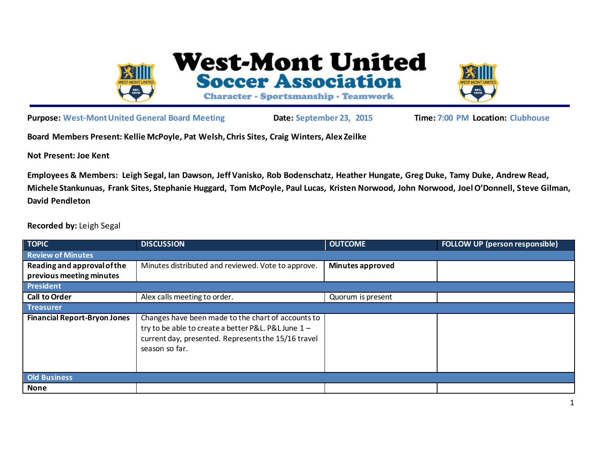

**West-Mont United Soccer Association** 

Character - Sportsmanship - Teamwork



**Purpose: West-Mont United General Board Meeting Date: September 23, 2015 Time: 7:00 PM Location: Clubhouse**

**Board Members Present: Kellie McPoyle, Pat Welsh, Chris Sites, Craig Winters, Alex Zeilke**

**Not Present: Joe Kent**

**Employees & Members: Leigh Segal, Ian Dawson, Jeff Vanisko, Rob Bodenschatz, Heather Hungate, Greg Duke, Tamy Duke, Andrew Read, Michele Stankunuas, Frank Sites, Stephanie Huggard, Tom McPoyle, Paul Lucas, Kristen Norwood, John Norwood, Joel O'Donnell, Steve Gilman, David Pendleton** 

**Recorded by:** Leigh Segal

| <b>TOPIC</b>                        | <b>DISCUSSION</b>                                                                                                                                                                  | <b>OUTCOME</b>          | FOLLOW UP (person responsible) |  |
|-------------------------------------|------------------------------------------------------------------------------------------------------------------------------------------------------------------------------------|-------------------------|--------------------------------|--|
| <b>Review of Minutes</b>            |                                                                                                                                                                                    |                         |                                |  |
| Reading and approval of the         | Minutes distributed and reviewed. Vote to approve.                                                                                                                                 | <b>Minutes approved</b> |                                |  |
| previous meeting minutes            |                                                                                                                                                                                    |                         |                                |  |
| <b>President</b>                    |                                                                                                                                                                                    |                         |                                |  |
| <b>Call to Order</b>                | Alex calls meeting to order.                                                                                                                                                       | Quorum is present       |                                |  |
| <b>Treasurer</b>                    |                                                                                                                                                                                    |                         |                                |  |
| <b>Financial Report-Bryon Jones</b> | Changes have been made to the chart of accounts to<br>try to be able to create a better P&L. P&L June 1 -<br>current day, presented. Represents the 15/16 travel<br>season so far. |                         |                                |  |
| <b>Old Business</b>                 |                                                                                                                                                                                    |                         |                                |  |
| <b>None</b>                         |                                                                                                                                                                                    |                         |                                |  |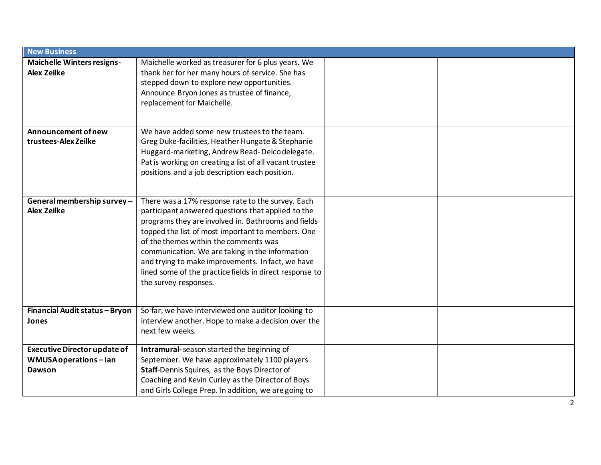| <b>New Business</b>                                     |                                                                                                           |  |  |  |
|---------------------------------------------------------|-----------------------------------------------------------------------------------------------------------|--|--|--|
| <b>Maichelle Winters resigns-</b><br><b>Alex Zeilke</b> | Maichelle worked as treasurer for 6 plus years. We<br>thank her for her many hours of service. She has    |  |  |  |
|                                                         | stepped down to explore new opportunities.<br>Announce Bryon Jones as trustee of finance,                 |  |  |  |
|                                                         | replacement for Maichelle.                                                                                |  |  |  |
|                                                         |                                                                                                           |  |  |  |
| Announcement of new                                     | We have added some new trustees to the team.                                                              |  |  |  |
| trustees-Alex Zeilke                                    | Greg Duke-facilities, Heather Hungate & Stephanie                                                         |  |  |  |
|                                                         | Huggard-marketing, Andrew Read-Delco delegate.<br>Pat is working on creating a list of all vacant trustee |  |  |  |
|                                                         | positions and a job description each position.                                                            |  |  |  |
|                                                         |                                                                                                           |  |  |  |
|                                                         |                                                                                                           |  |  |  |
| General membership survey-<br><b>Alex Zeilke</b>        | There was a 17% response rate to the survey. Each                                                         |  |  |  |
|                                                         | participant answered questions that applied to the<br>programs they are involved in. Bathrooms and fields |  |  |  |
|                                                         | topped the list of most important to members. One                                                         |  |  |  |
|                                                         | of the themes within the comments was                                                                     |  |  |  |
|                                                         | communication. We are taking in the information                                                           |  |  |  |
|                                                         | and trying to make improvements. In fact, we have                                                         |  |  |  |
|                                                         | lined some of the practice fields in direct response to                                                   |  |  |  |
|                                                         | the survey responses.                                                                                     |  |  |  |
|                                                         |                                                                                                           |  |  |  |
| Financial Audit status - Bryon                          | So far, we have interviewed one auditor looking to                                                        |  |  |  |
| Jones                                                   | interview another. Hope to make a decision over the                                                       |  |  |  |
|                                                         | next few weeks.                                                                                           |  |  |  |
| <b>Executive Director update of</b>                     | Intramural-season started the beginning of                                                                |  |  |  |
| WMUSA operations-lan                                    | September. We have approximately 1100 players                                                             |  |  |  |
| <b>Dawson</b>                                           | Staff-Dennis Squires, as the Boys Director of                                                             |  |  |  |
|                                                         | Coaching and Kevin Curley as the Director of Boys<br>and Girls College Prep. In addition, we are going to |  |  |  |
|                                                         |                                                                                                           |  |  |  |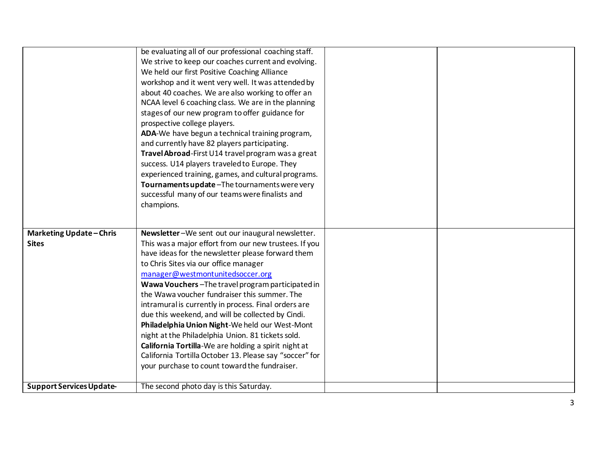|                                 | be evaluating all of our professional coaching staff.<br>We strive to keep our coaches current and evolving. |  |
|---------------------------------|--------------------------------------------------------------------------------------------------------------|--|
|                                 | We held our first Positive Coaching Alliance                                                                 |  |
|                                 | workshop and it went very well. It was attended by                                                           |  |
|                                 | about 40 coaches. We are also working to offer an                                                            |  |
|                                 | NCAA level 6 coaching class. We are in the planning                                                          |  |
|                                 | stages of our new program to offer guidance for                                                              |  |
|                                 | prospective college players.                                                                                 |  |
|                                 | ADA-We have begun a technical training program,                                                              |  |
|                                 | and currently have 82 players participating.                                                                 |  |
|                                 | Travel Abroad-First U14 travel program was a great                                                           |  |
|                                 | success. U14 players traveled to Europe. They                                                                |  |
|                                 | experienced training, games, and cultural programs.                                                          |  |
|                                 | Tournaments update - The tournaments were very                                                               |  |
|                                 | successful many of our teams were finalists and                                                              |  |
|                                 | champions.                                                                                                   |  |
|                                 |                                                                                                              |  |
|                                 |                                                                                                              |  |
| <b>Marketing Update-Chris</b>   | Newsletter-We sent out our inaugural newsletter.                                                             |  |
| <b>Sites</b>                    | This was a major effort from our new trustees. If you                                                        |  |
|                                 | have ideas for the newsletter please forward them                                                            |  |
|                                 | to Chris Sites via our office manager<br>manager@westmontunitedsoccer.org                                    |  |
|                                 | Wawa Vouchers-The travel program participated in                                                             |  |
|                                 | the Wawa voucher fundraiser this summer. The                                                                 |  |
|                                 | intramural is currently in process. Final orders are                                                         |  |
|                                 | due this weekend, and will be collected by Cindi.                                                            |  |
|                                 | Philadelphia Union Night-We held our West-Mont                                                               |  |
|                                 | night at the Philadelphia Union. 81 tickets sold.                                                            |  |
|                                 | California Tortilla-We are holding a spirit night at                                                         |  |
|                                 | California Tortilla October 13. Please say "soccer" for                                                      |  |
|                                 | your purchase to count toward the fundraiser.                                                                |  |
|                                 |                                                                                                              |  |
| <b>Support Services Update-</b> | The second photo day is this Saturday.                                                                       |  |